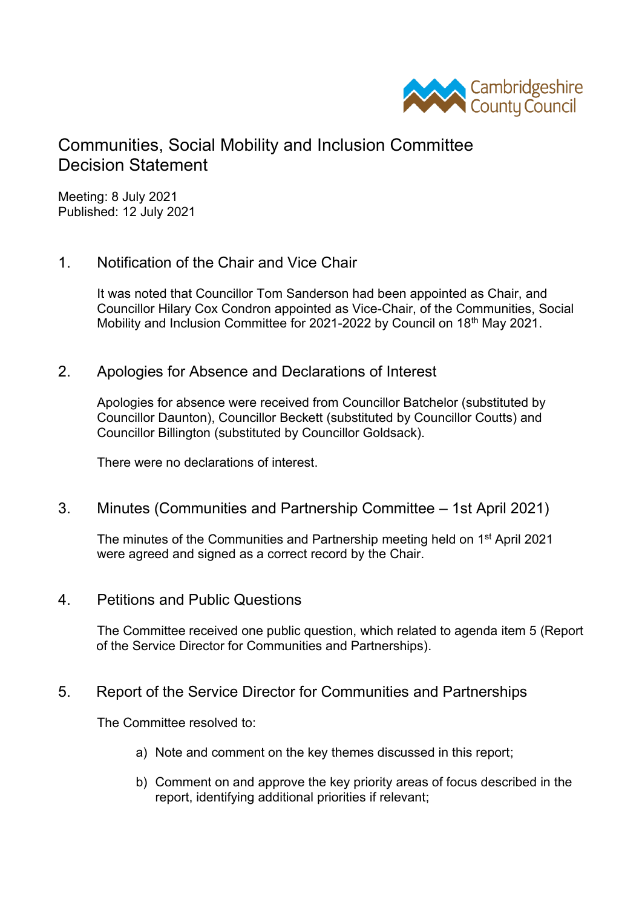

# Communities, Social Mobility and Inclusion Committee Decision Statement

Meeting: 8 July 2021 Published: 12 July 2021

## 1. Notification of the Chair and Vice Chair

It was noted that Councillor Tom Sanderson had been appointed as Chair, and Councillor Hilary Cox Condron appointed as Vice-Chair, of the Communities, Social Mobility and Inclusion Committee for 2021-2022 by Council on 18th May 2021.

## 2. Apologies for Absence and Declarations of Interest

Apologies for absence were received from Councillor Batchelor (substituted by Councillor Daunton), Councillor Beckett (substituted by Councillor Coutts) and Councillor Billington (substituted by Councillor Goldsack).

There were no declarations of interest.

#### 3. Minutes (Communities and Partnership Committee – 1st April 2021)

The minutes of the Communities and Partnership meeting held on 1<sup>st</sup> April 2021 were agreed and signed as a correct record by the Chair.

4. Petitions and Public Questions

The Committee received one public question, which related to agenda item 5 (Report of the Service Director for Communities and Partnerships).

#### 5. Report of the Service Director for Communities and Partnerships

The Committee resolved to:

- a) Note and comment on the key themes discussed in this report;
- b) Comment on and approve the key priority areas of focus described in the report, identifying additional priorities if relevant;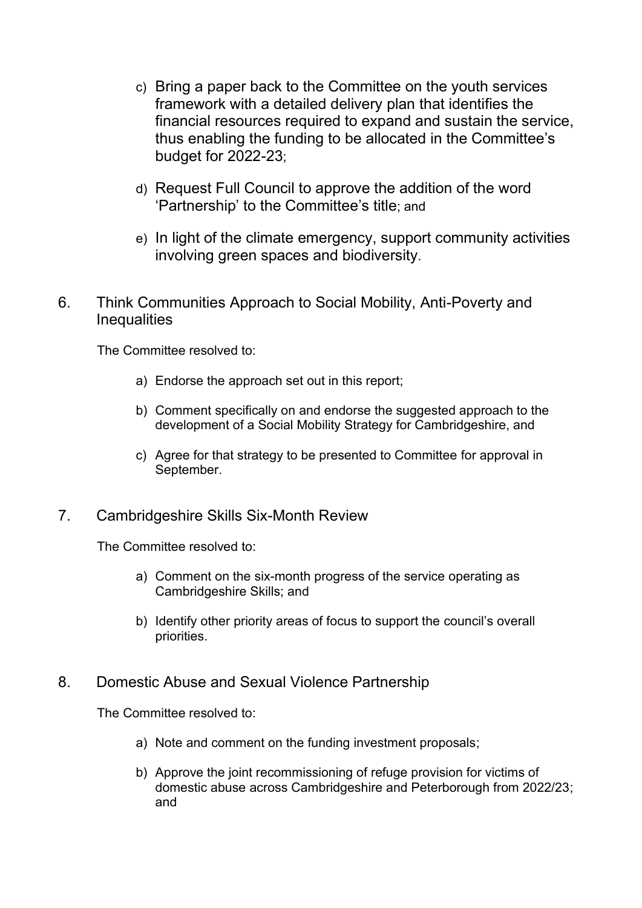- c) Bring a paper back to the Committee on the youth services framework with a detailed delivery plan that identifies the financial resources required to expand and sustain the service, thus enabling the funding to be allocated in the Committee's budget for 2022-23;
- d) Request Full Council to approve the addition of the word 'Partnership' to the Committee's title; and
- e) In light of the climate emergency, support community activities involving green spaces and biodiversity.
- 6. Think Communities Approach to Social Mobility, Anti-Poverty and **Inequalities**

The Committee resolved to:

- a) Endorse the approach set out in this report;
- b) Comment specifically on and endorse the suggested approach to the development of a Social Mobility Strategy for Cambridgeshire, and
- c) Agree for that strategy to be presented to Committee for approval in September.

# 7. Cambridgeshire Skills Six-Month Review

The Committee resolved to:

- a) Comment on the six-month progress of the service operating as Cambridgeshire Skills; and
- b) Identify other priority areas of focus to support the council's overall priorities.

#### 8. Domestic Abuse and Sexual Violence Partnership

The Committee resolved to:

- a) Note and comment on the funding investment proposals;
- b) Approve the joint recommissioning of refuge provision for victims of domestic abuse across Cambridgeshire and Peterborough from 2022/23; and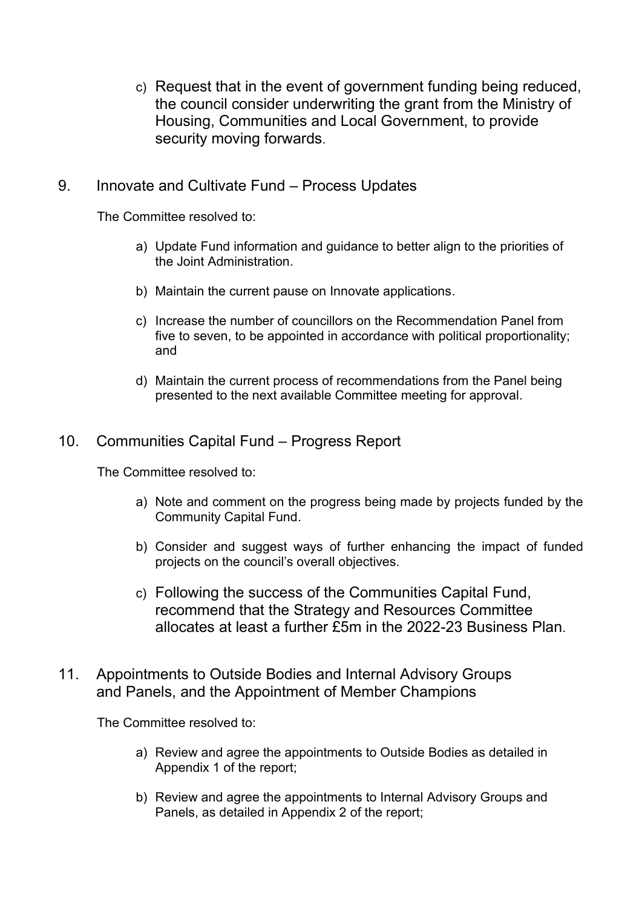c) Request that in the event of government funding being reduced, the council consider underwriting the grant from the Ministry of Housing, Communities and Local Government, to provide security moving forwards.

# 9. Innovate and Cultivate Fund – Process Updates

The Committee resolved to:

- a) Update Fund information and guidance to better align to the priorities of the Joint Administration.
- b) Maintain the current pause on Innovate applications.
- c) Increase the number of councillors on the Recommendation Panel from five to seven, to be appointed in accordance with political proportionality; and
- d) Maintain the current process of recommendations from the Panel being presented to the next available Committee meeting for approval.

## 10. Communities Capital Fund – Progress Report

The Committee resolved to:

- a) Note and comment on the progress being made by projects funded by the Community Capital Fund.
- b) Consider and suggest ways of further enhancing the impact of funded projects on the council's overall objectives.
- c) Following the success of the Communities Capital Fund, recommend that the Strategy and Resources Committee allocates at least a further £5m in the 2022-23 Business Plan.
- 11. Appointments to Outside Bodies and Internal Advisory Groups and Panels, and the Appointment of Member Champions

The Committee resolved to:

- a) Review and agree the appointments to Outside Bodies as detailed in Appendix 1 of the report;
- b) Review and agree the appointments to Internal Advisory Groups and Panels, as detailed in Appendix 2 of the report;